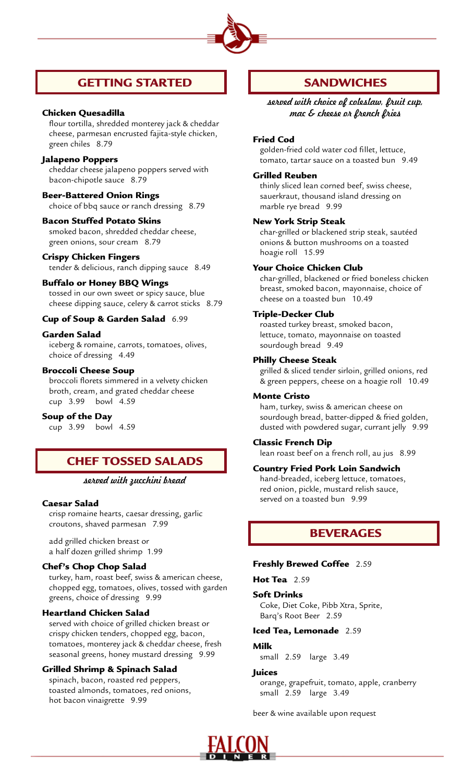

# GETTING STARTED

# Chicken Quesadilla

flour tortilla, shredded monterey jack & cheddar cheese, parmesan encrusted fajita-style chicken, green chiles 8.79

# Jalapeno Poppers

cheddar cheese jalapeno poppers served with bacon-chipotle sauce 8.79

# Beer-Battered Onion Rings

choice of bbq sauce or ranch dressing 8.79

### Bacon Stuffed Potato Skins

smoked bacon, shredded cheddar cheese, green onions, sour cream 8.79

#### Crispy Chicken Fingers

tender & delicious, ranch dipping sauce 8.49

# Buffalo or Honey BBQ Wings

tossed in our own sweet or spicy sauce, blue cheese dipping sauce, celery & carrot sticks 8.79

#### Cup of Soup & Garden Salad 6.99

# Garden Salad

iceberg & romaine, carrots, tomatoes, olives, choice of dressing 4.49

# Broccoli Cheese Soup

broccoli florets simmered in a velvety chicken broth, cream, and grated cheddar cheese cup 3.99 bowl 4.59

### Soup of the Day

cup 3.99 bowl 4.59

# CHEF TOSSED SALADS

# *served with zucchini bread*

#### Caesar Salad

crisp romaine hearts, caesar dressing, garlic croutons, shaved parmesan 7.99

add grilled chicken breast or a half dozen grilled shrimp 1.99

## Chef's Chop Chop Salad

turkey, ham, roast beef, swiss & american cheese, chopped egg, tomatoes, olives, tossed with garden greens, choice of dressing 9.99

## Heartland Chicken Salad

served with choice of grilled chicken breast or crispy chicken tenders, chopped egg, bacon, tomatoes, monterey jack & cheddar cheese, fresh seasonal greens, honey mustard dressing 9.99

# Grilled Shrimp & Spinach Salad

spinach, bacon, roasted red peppers, toasted almonds, tomatoes, red onions, hot bacon vinaigrette 9.99

# **SANDWICHES**

*served with choice of coleslaw, fruit cup, mac & cheese or french fries*

### Fried Cod

golden-fried cold water cod fillet, lettuce, tomato, tartar sauce on a toasted bun 9.49

### Grilled Reuben

 thinly sliced lean corned beef, swiss cheese, sauerkraut, thousand island dressing on marble rye bread 9.99

#### New York Strip Steak

char-grilled or blackened strip steak, sautéed onions & button mushrooms on a toasted hoagie roll 15.99

#### Your Choice Chicken Club

 char-grilled, blackened or fried boneless chicken breast, smoked bacon, mayonnaise, choice of cheese on a toasted bun 10.49

#### Triple-Decker Club

roasted turkey breast, smoked bacon, lettuce, tomato, mayonnaise on toasted sourdough bread 9.49

## Philly Cheese Steak

grilled & sliced tender sirloin, grilled onions, red & green peppers, cheese on a hoagie roll 10.49

### Monte Cristo

 ham, turkey, swiss & american cheese on sourdough bread, batter-dipped & fried golden, dusted with powdered sugar, currant jelly 9.99

## Classic French Dip

lean roast beef on a french roll, au jus 8.99

### Country Fried Pork Loin Sandwich

hand-breaded, iceberg lettuce, tomatoes, red onion, pickle, mustard relish sauce, served on a toasted bun 9.99

# BEVERAGES

#### Freshly Brewed Coffee 2.59

Hot Tea 2.59

#### Soft Drinks

Coke, Diet Coke, Pibb Xtra, Sprite, Barq's Root Beer 2.59

#### Iced Tea, Lemonade 2.59

#### Milk

small 2.59 large 3.49

#### **Juices**

orange, grapefruit, tomato, apple, cranberry small 2.59 large 3.49

beer & wine available upon request

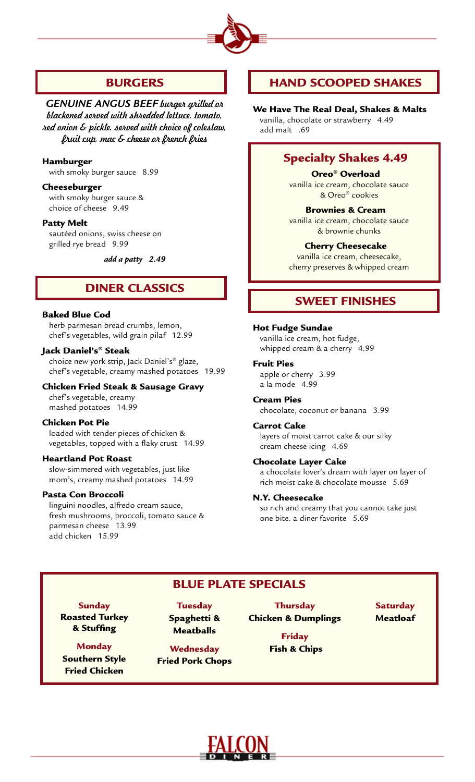

# BURGERS

*Genuine Angus Beef burger grilled or blackened served with shredded lettuce, tomato, red onion & pickle. served with choice of coleslaw, fruit cup, mac & cheese or french fries*

## Hamburger

with smoky burger sauce 8.99

# Cheeseburger

 with smoky burger sauce & choice of cheese 9.49

## Patty Melt

 sautéed onions, swiss cheese on grilled rye bread 9.99

*add a patty 2.49* 

# DINER CLASSICS

# Baked Blue Cod

 herb parmesan bread crumbs, lemon, chef's vegetables, wild grain pilaf 12.99

# Jack Daniel's® Steak

choice new york strip, Jack Daniel's® glaze, chef's vegetable, creamy mashed potatoes 19.99

# Chicken Fried Steak & Sausage Gravy

chef's vegetable, creamy mashed potatoes 14.99

## Chicken Pot Pie

loaded with tender pieces of chicken & vegetables, topped with a flaky crust 14.99

## Heartland Pot Roast

slow-simmered with vegetables, just like mom's, creamy mashed potatoes 14.99

## Pasta Con Broccoli

linguini noodles, alfredo cream sauce, fresh mushrooms, broccoli, tomato sauce & parmesan cheese 13.99 add chicken 15.99

# HAND SCOOPED SHAKES

We Have The Real Deal, Shakes & Malts vanilla, chocolate or strawberry 4.49 add malt .69

# Specialty Shakes 4.49

Oreo® Overload vanilla ice cream, chocolate sauce & Oreo® cookies

### Brownies & Cream vanilla ice cream, chocolate sauce & brownie chunks

Cherry Cheesecake vanilla ice cream, cheesecake, cherry preserves & whipped cream

# SWEET FINISHES

## Hot Fudge Sundae

vanilla ice cream, hot fudge, whipped cream & a cherry 4.99

## Fruit Pies

apple or cherry 3.99 a la mode 4.99

Cream Pies chocolate, coconut or banana 3.99

## Carrot Cake

layers of moist carrot cake & our silky cream cheese icing 4.69

# Chocolate Layer Cake

a chocolate lover's dream with layer on layer of rich moist cake & chocolate mousse 5.69

## N.Y. Cheesecake

so rich and creamy that you cannot take just one bite. a diner favorite 5.69

# Blue Plate Specials

**Sunday** Roasted Turkey & Stuffing

**Monday** Southern Style Fried Chicken

**Tuesday** Spaghetti & Meatballs

# **Wednesday**

Fried Pork Chops

**Thursday** Chicken & Dumplings

> Friday Fish & Chips

**Saturday** Meatloaf